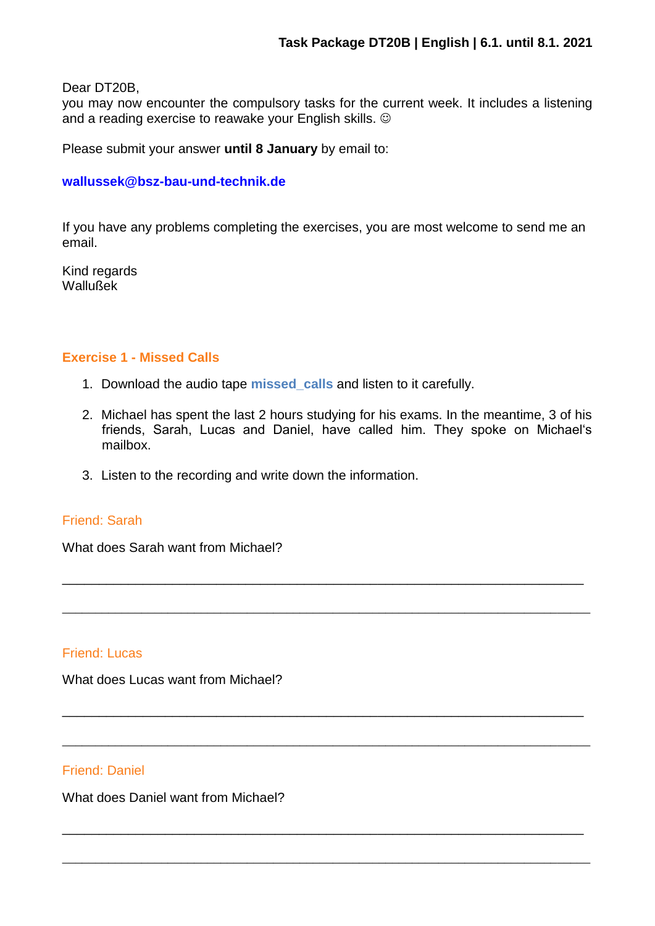Dear DT20B,

you may now encounter the compulsory tasks for the current week. It includes a listening and a reading exercise to reawake your English skills.  $\odot$ 

Please submit your answer **until 8 January** by email to:

### **[wallussek@bsz-bau-und-technik.de](mailto:wallussek@bsz-bau-und-technik.de)**

If you have any problems completing the exercises, you are most welcome to send me an email.

Kind regards Wallußek

### **Exercise 1 - Missed Calls**

- 1. Download the audio tape **missed\_calls** and listen to it carefully.
- 2. Michael has spent the last 2 hours studying for his exams. In the meantime, 3 of his friends, Sarah, Lucas and Daniel, have called him. They spoke on Michael's mailbox.

\_\_\_\_\_\_\_\_\_\_\_\_\_\_\_\_\_\_\_\_\_\_\_\_\_\_\_\_\_\_\_\_\_\_\_\_\_\_\_\_\_\_\_\_\_\_\_\_\_\_\_\_\_\_\_\_\_\_\_\_\_\_\_\_\_\_\_\_\_\_\_

\_\_\_\_\_\_\_\_\_\_\_\_\_\_\_\_\_\_\_\_\_\_\_\_\_\_\_\_\_\_\_\_\_\_\_\_\_\_\_\_\_\_\_\_\_\_\_\_\_\_\_\_\_\_\_\_\_\_\_\_\_\_\_\_\_\_\_\_\_\_\_\_\_\_\_\_\_\_\_\_

\_\_\_\_\_\_\_\_\_\_\_\_\_\_\_\_\_\_\_\_\_\_\_\_\_\_\_\_\_\_\_\_\_\_\_\_\_\_\_\_\_\_\_\_\_\_\_\_\_\_\_\_\_\_\_\_\_\_\_\_\_\_\_\_\_\_\_\_\_\_\_

\_\_\_\_\_\_\_\_\_\_\_\_\_\_\_\_\_\_\_\_\_\_\_\_\_\_\_\_\_\_\_\_\_\_\_\_\_\_\_\_\_\_\_\_\_\_\_\_\_\_\_\_\_\_\_\_\_\_\_\_\_\_\_\_\_\_\_\_\_\_\_\_\_\_\_\_\_\_\_\_

\_\_\_\_\_\_\_\_\_\_\_\_\_\_\_\_\_\_\_\_\_\_\_\_\_\_\_\_\_\_\_\_\_\_\_\_\_\_\_\_\_\_\_\_\_\_\_\_\_\_\_\_\_\_\_\_\_\_\_\_\_\_\_\_\_\_\_\_\_\_\_

\_\_\_\_\_\_\_\_\_\_\_\_\_\_\_\_\_\_\_\_\_\_\_\_\_\_\_\_\_\_\_\_\_\_\_\_\_\_\_\_\_\_\_\_\_\_\_\_\_\_\_\_\_\_\_\_\_\_\_\_\_\_\_\_\_\_\_\_\_\_\_\_\_\_\_\_\_\_\_\_

3. Listen to the recording and write down the information.

## Friend: Sarah

What does Sarah want from Michael?

## Friend: Lucas

What does Lucas want from Michael?

### Friend: Daniel

What does Daniel want from Michael?